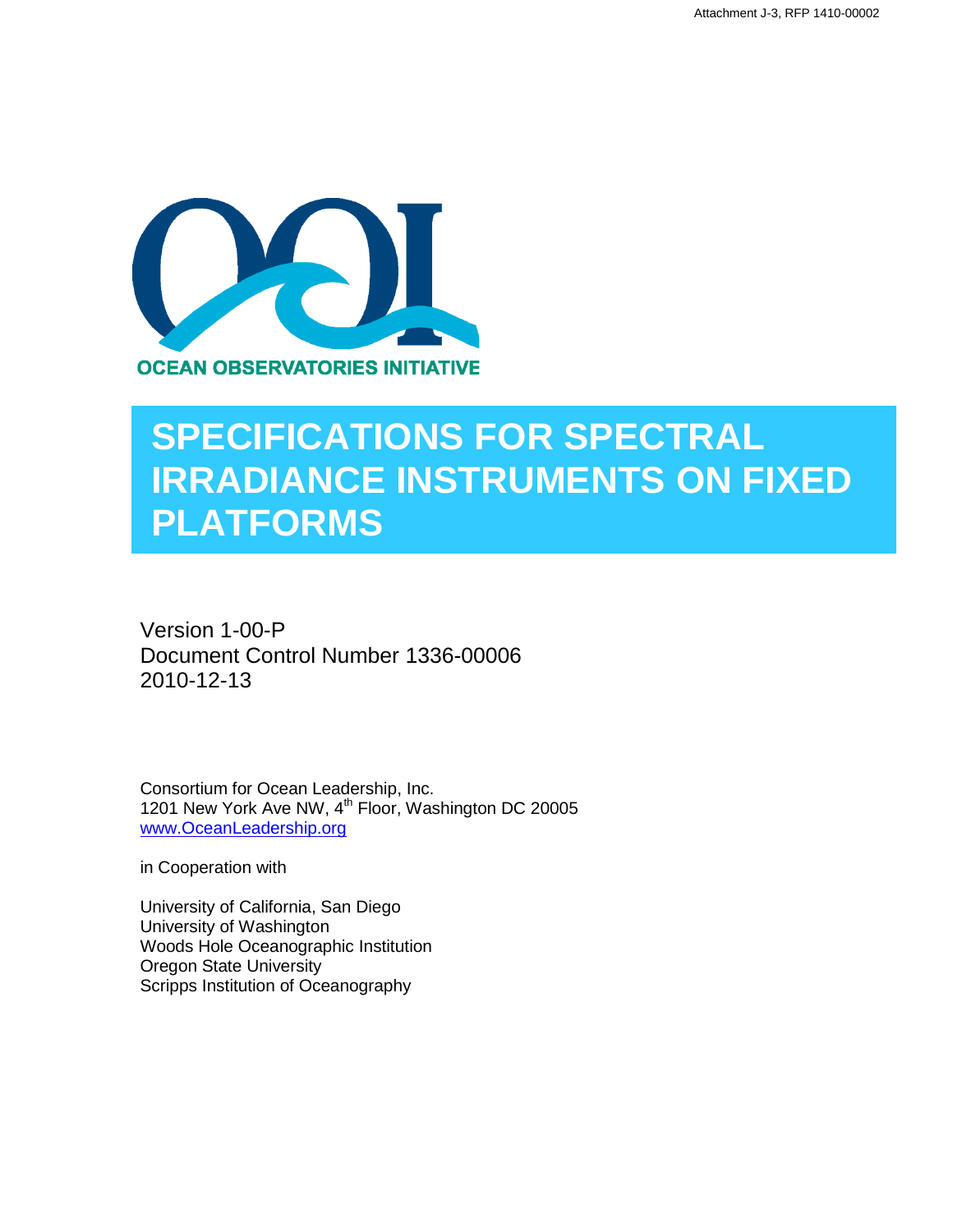

# **SPECIFICATIONS FOR SPECTRAL IRRADIANCE INSTRUMENTS ON FIXED PLATFORMS**

Version 1-00-P Document Control Number 1336-00006 2010-12-13

Consortium for Ocean Leadership, Inc. 1201 New York Ave NW, 4<sup>th</sup> Floor, Washington DC 20005 [www.OceanLeadership.org](http://www.oceanleadership.org/)

in Cooperation with

University of California, San Diego University of Washington Woods Hole Oceanographic Institution Oregon State University Scripps Institution of Oceanography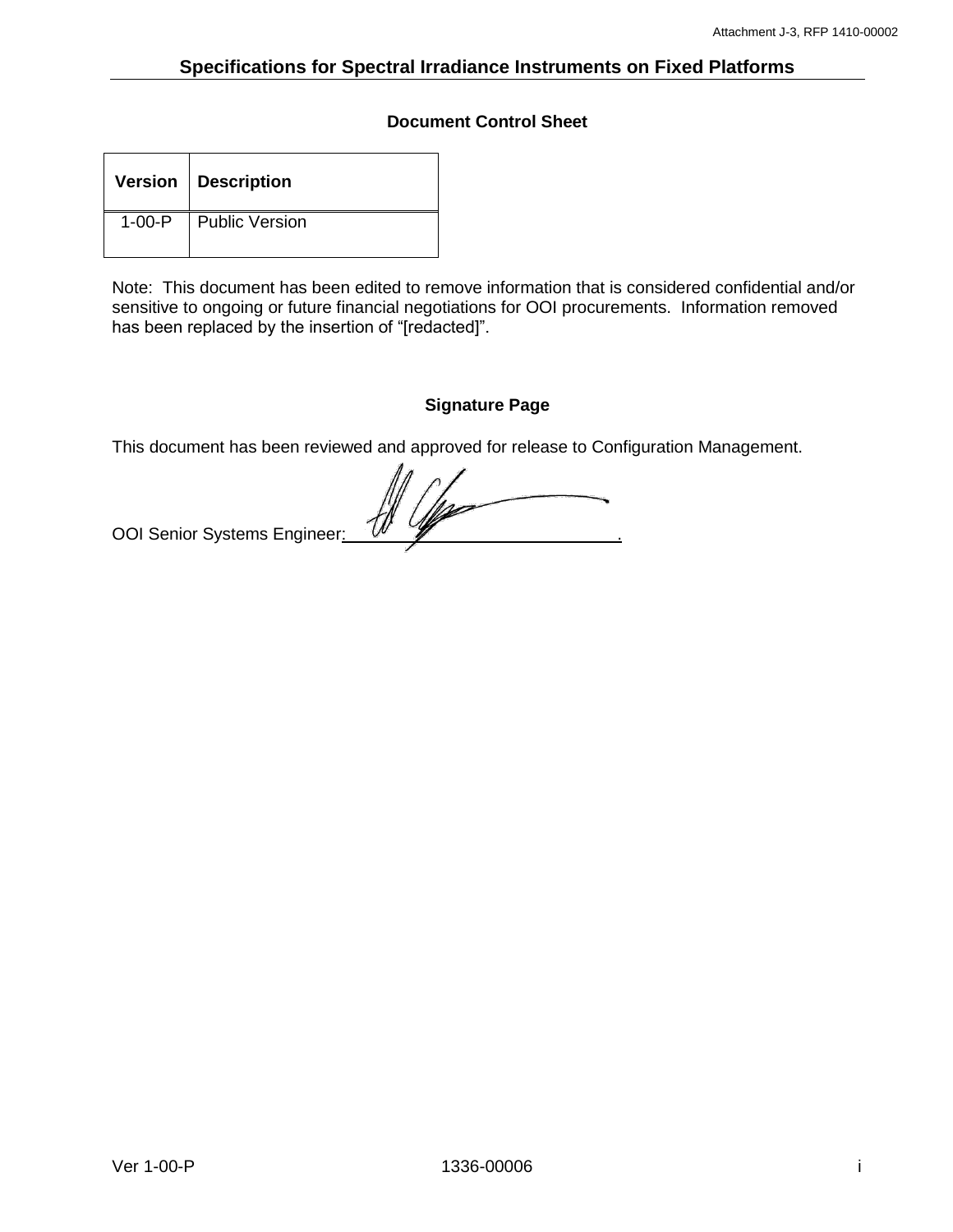## **Document Control Sheet**

| Version   Description   |
|-------------------------|
| 1-00-P   Public Version |

Note: This document has been edited to remove information that is considered confidential and/or sensitive to ongoing or future financial negotiations for OOI procurements. Information removed has been replaced by the insertion of "[redacted]".

## **Signature Page**

This document has been reviewed and approved for release to Configuration Management.

OOI Senior Systems Engineer: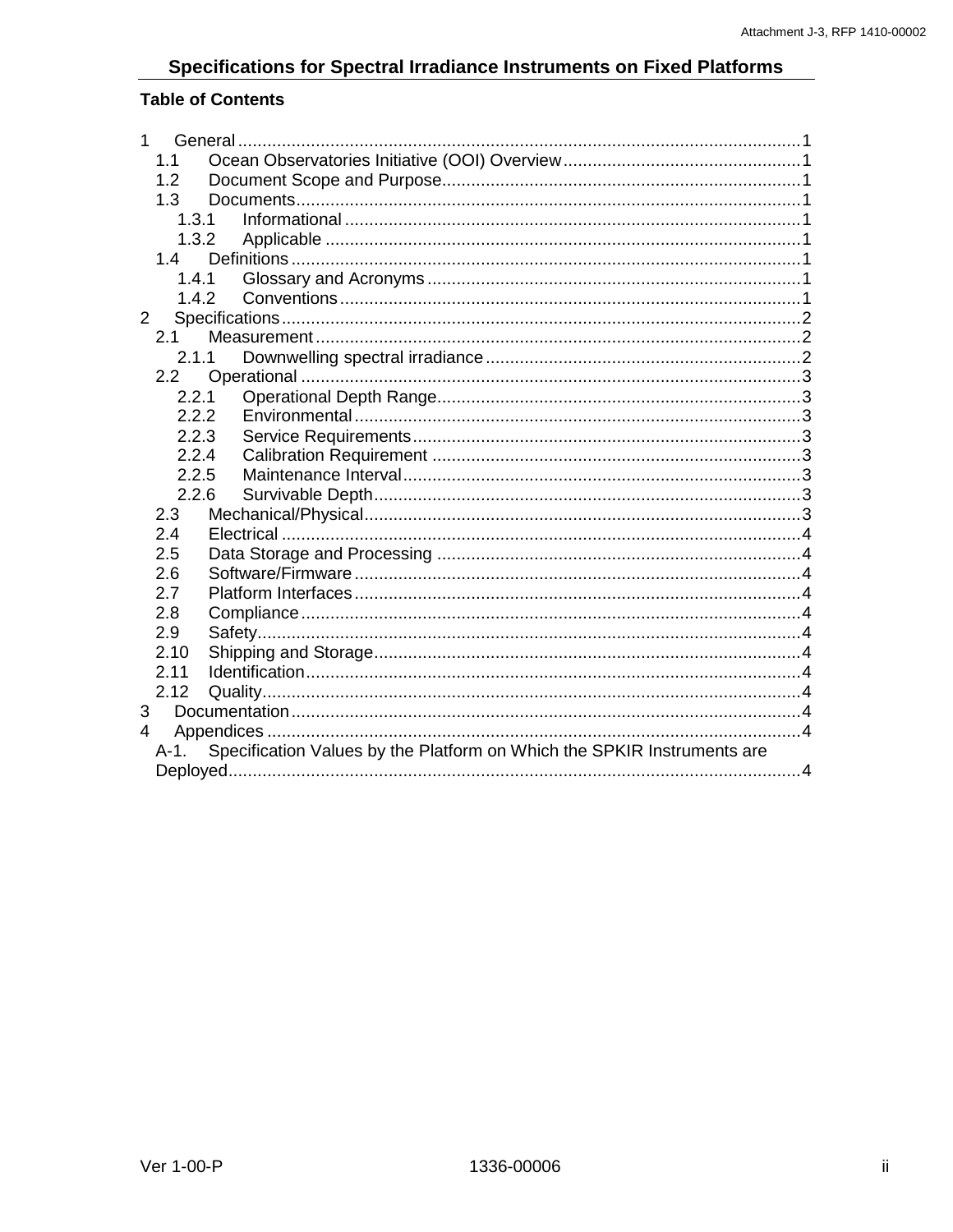# Specifications for Spectral Irradiance Instruments on Fixed Platforms

# **Table of Contents**

| 1<br>General                                                                    |  |  |
|---------------------------------------------------------------------------------|--|--|
| 1.1                                                                             |  |  |
| 1.2                                                                             |  |  |
| 1.3                                                                             |  |  |
| 1.3.1                                                                           |  |  |
| 1.3.2                                                                           |  |  |
| 1.4                                                                             |  |  |
| 1.4.1                                                                           |  |  |
| 1.4.2                                                                           |  |  |
| $\overline{2}$                                                                  |  |  |
| 2.1                                                                             |  |  |
| 2.1.1                                                                           |  |  |
| 2.2                                                                             |  |  |
| 2.2.1                                                                           |  |  |
| 2.2.2                                                                           |  |  |
| 2.2.3                                                                           |  |  |
| 2.2.4                                                                           |  |  |
| 2.2.5                                                                           |  |  |
| 2.2.6                                                                           |  |  |
| 2.3<br>2.4                                                                      |  |  |
| 2.5                                                                             |  |  |
| 2.6                                                                             |  |  |
| 2.7                                                                             |  |  |
| 2.8                                                                             |  |  |
| 2.9                                                                             |  |  |
| 2.10                                                                            |  |  |
| 2.11                                                                            |  |  |
| 2.12                                                                            |  |  |
| 3                                                                               |  |  |
| 4                                                                               |  |  |
| Specification Values by the Platform on Which the SPKIR Instruments are<br>A-1. |  |  |
|                                                                                 |  |  |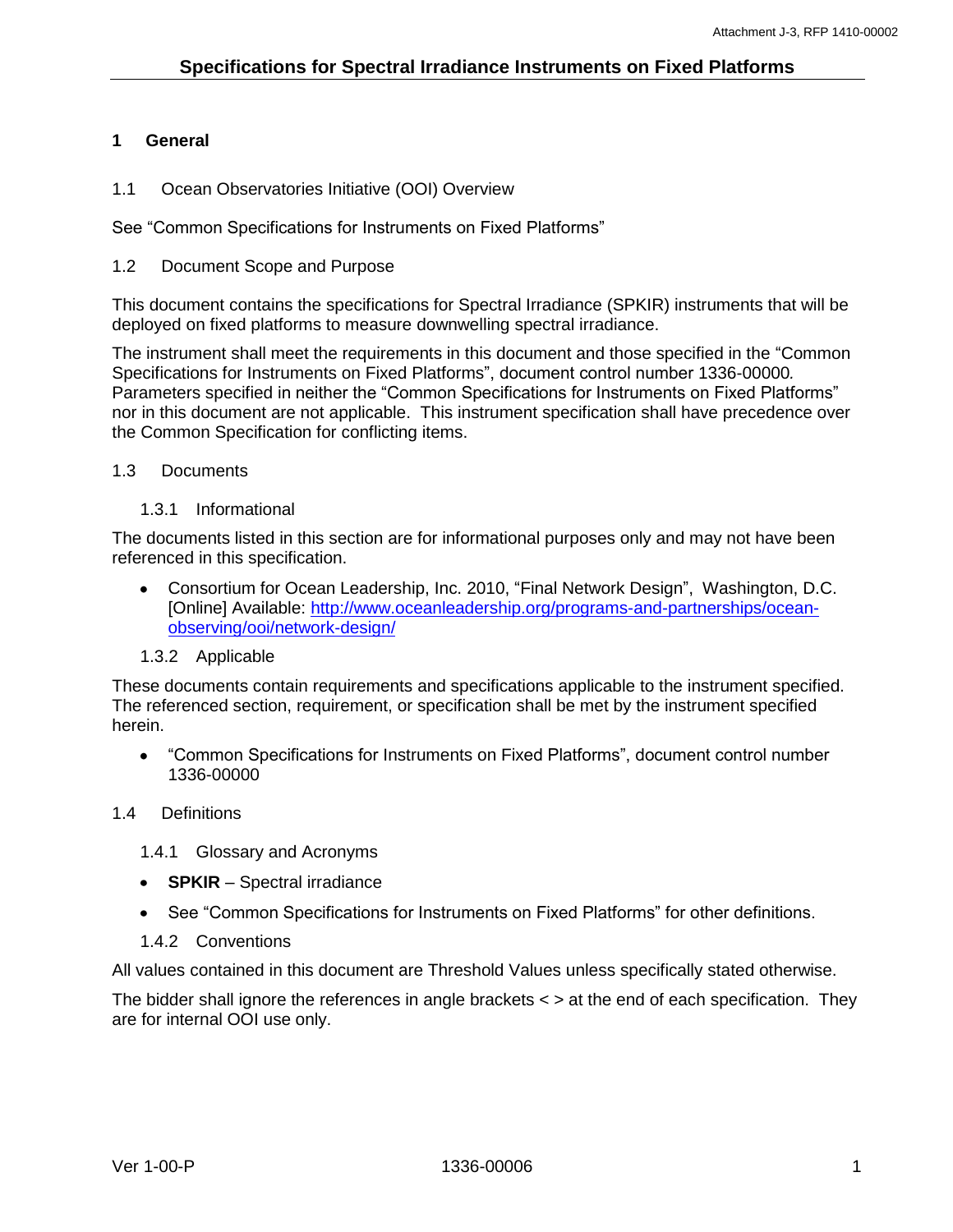## <span id="page-3-0"></span>**1 General**

<span id="page-3-1"></span>1.1 Ocean Observatories Initiative (OOI) Overview

See "Common Specifications for Instruments on Fixed Platforms"

### <span id="page-3-2"></span>1.2 Document Scope and Purpose

This document contains the specifications for Spectral Irradiance (SPKIR) instruments that will be deployed on fixed platforms to measure downwelling spectral irradiance.

The instrument shall meet the requirements in this document and those specified in the "Common Specifications for Instruments on Fixed Platforms", document control number 1336-00000*.* Parameters specified in neither the "Common Specifications for Instruments on Fixed Platforms" nor in this document are not applicable. This instrument specification shall have precedence over the Common Specification for conflicting items.

## <span id="page-3-3"></span>1.3 Documents

1.3.1 Informational

<span id="page-3-4"></span>The documents listed in this section are for informational purposes only and may not have been referenced in this specification.

- $\bullet$ Consortium for Ocean Leadership, Inc. 2010, "Final Network Design", Washington, D.C. [Online] Available: [http://www.oceanleadership.org/programs-and-partnerships/ocean](http://www.oceanleadership.org/programs-and-partnerships/ocean-observing/ooi/network-design/)[observing/ooi/network-design/](http://www.oceanleadership.org/programs-and-partnerships/ocean-observing/ooi/network-design/)
- 1.3.2 Applicable

<span id="page-3-5"></span>These documents contain requirements and specifications applicable to the instrument specified. The referenced section, requirement, or specification shall be met by the instrument specified herein.

"Common Specifications for Instruments on Fixed Platforms", document control number 1336-00000

## <span id="page-3-6"></span>1.4 Definitions

<span id="page-3-7"></span>1.4.1 Glossary and Acronyms

- **SPKIR** Spectral irradiance
- See "Common Specifications for Instruments on Fixed Platforms" for other definitions.
- 1.4.2 Conventions

<span id="page-3-8"></span>All values contained in this document are Threshold Values unless specifically stated otherwise.

The bidder shall ignore the references in angle brackets < > at the end of each specification. They are for internal OOI use only.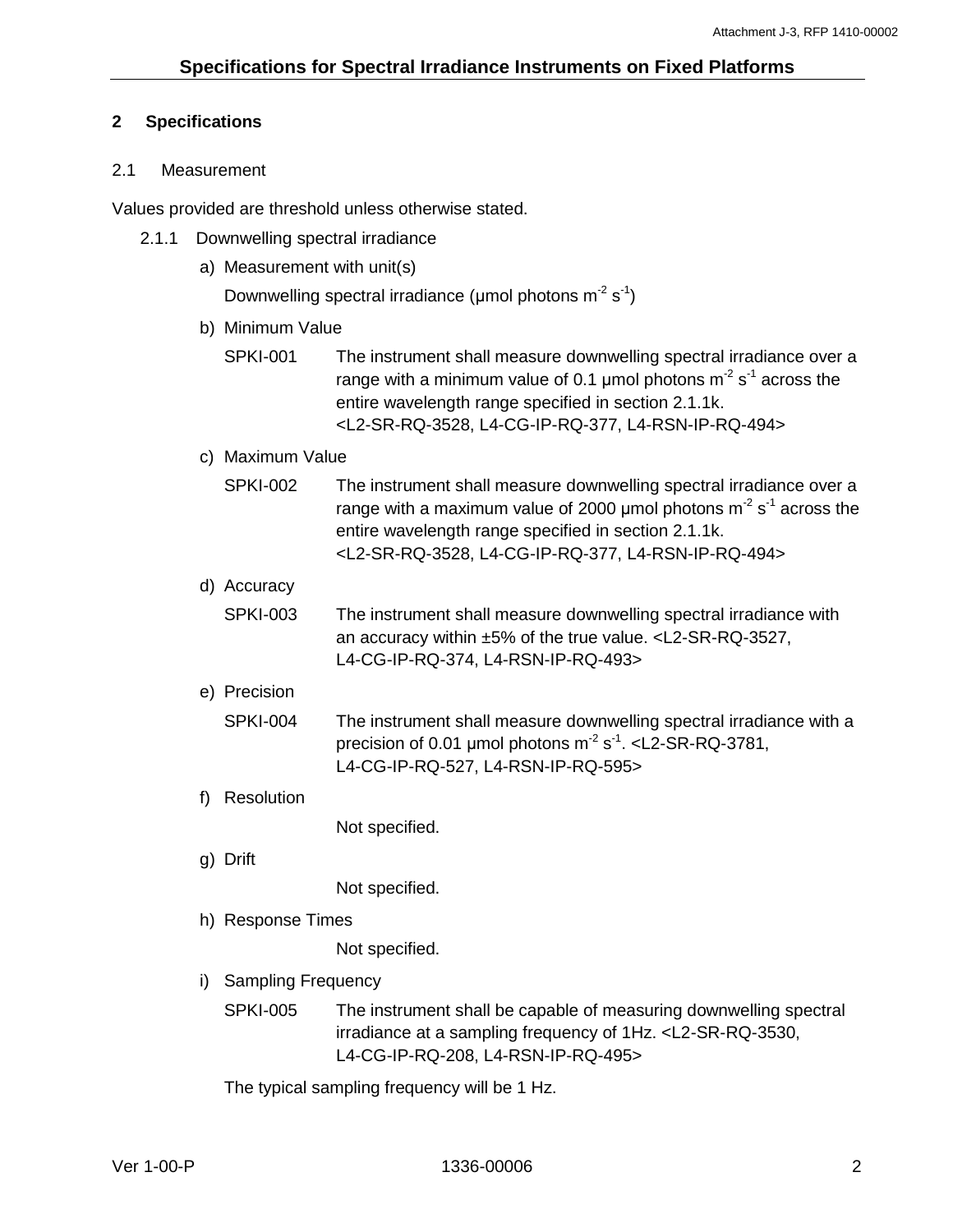## <span id="page-4-0"></span>**2 Specifications**

## <span id="page-4-1"></span>2.1 Measurement

<span id="page-4-2"></span>Values provided are threshold unless otherwise stated.

- 2.1.1 Downwelling spectral irradiance
	- a) Measurement with unit(s)

```
Downwelling spectral irradiance (µmol photons m<sup>-2</sup> s<sup>-1</sup>)
```
- b) Minimum Value
	- SPKI-001 The instrument shall measure downwelling spectral irradiance over a range with a minimum value of 0.1 µmol photons m<sup>-2</sup> s<sup>-1</sup> across the entire wavelength range specified in section 2.1.1k. <L2-SR-RQ-3528, L4-CG-IP-RQ-377, L4-RSN-IP-RQ-494>
- c) Maximum Value

| SPKI-002 | The instrument shall measure downwelling spectral irradiance over a       |
|----------|---------------------------------------------------------------------------|
|          | range with a maximum value of 2000 µmol photons $m^2 s^1$ across the      |
|          | entire wavelength range specified in section 2.1.1k.                      |
|          | <l2-sr-rq-3528, l4-cg-ip-rq-377,="" l4-rsn-ip-rq-494=""></l2-sr-rq-3528,> |

d) Accuracy

SPKI-003 The instrument shall measure downwelling spectral irradiance with an accuracy within ±5% of the true value. <L2-SR-RQ-3527, L4-CG-IP-RQ-374, L4-RSN-IP-RQ-493>

- e) Precision
	- SPKI-004 The instrument shall measure downwelling spectral irradiance with a precision of 0.01  $\mu$ mol photons m<sup>-2</sup> s<sup>-1</sup>. <L2-SR-RQ-3781, L4-CG-IP-RQ-527, L4-RSN-IP-RQ-595>
- f) Resolution

Not specified.

g) Drift

Not specified.

h) Response Times

Not specified.

- i) Sampling Frequency
	- SPKI-005 The instrument shall be capable of measuring downwelling spectral irradiance at a sampling frequency of 1Hz. <L2-SR-RQ-3530, L4-CG-IP-RQ-208, L4-RSN-IP-RQ-495>

The typical sampling frequency will be 1 Hz.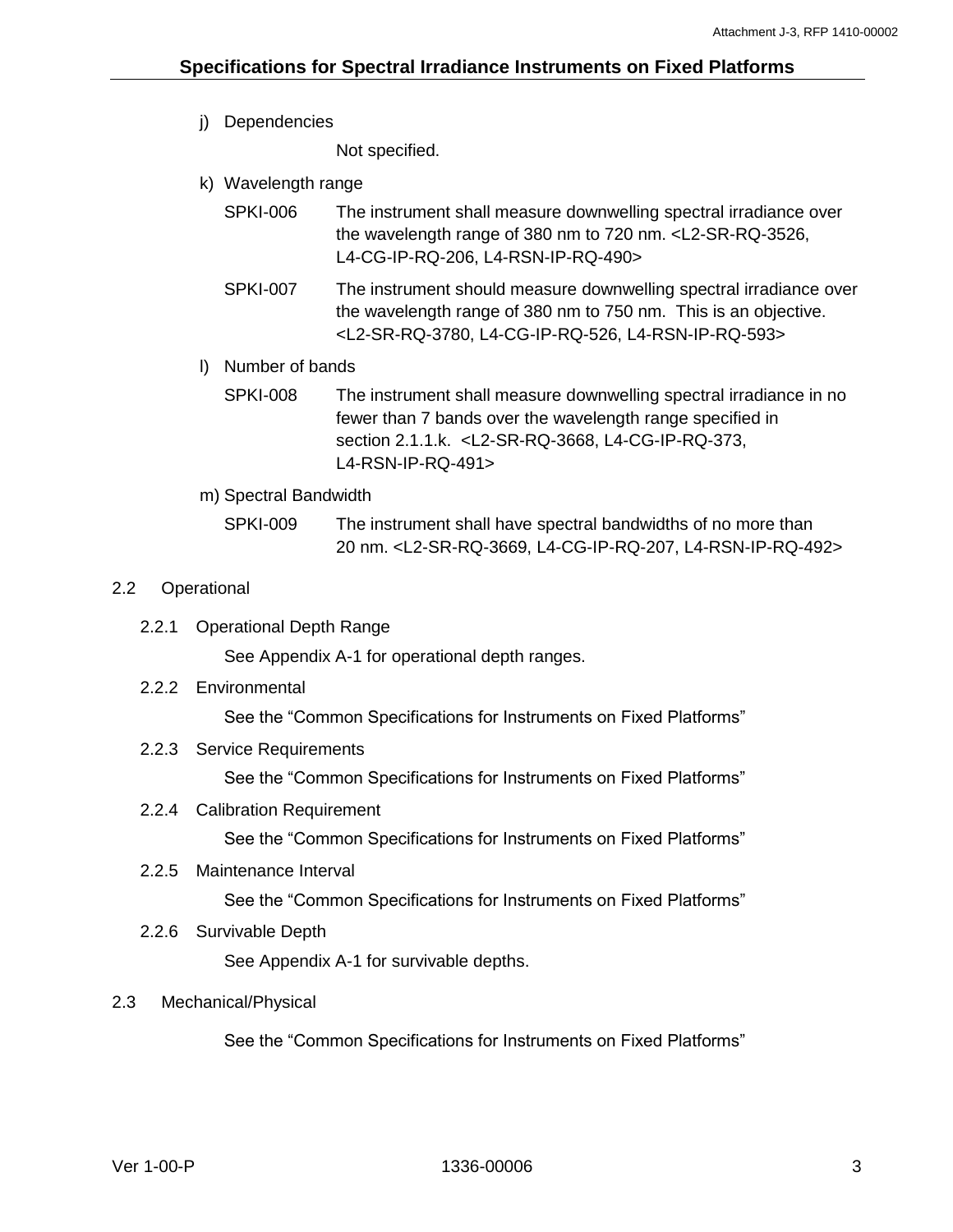j) Dependencies

Not specified.

- k) Wavelength range
	- SPKI-006 The instrument shall measure downwelling spectral irradiance over the wavelength range of 380 nm to 720 nm. <L2-SR-RQ-3526, L4-CG-IP-RQ-206, L4-RSN-IP-RQ-490>
	- SPKI-007 The instrument should measure downwelling spectral irradiance over the wavelength range of 380 nm to 750 nm. This is an objective. <L2-SR-RQ-3780, L4-CG-IP-RQ-526, L4-RSN-IP-RQ-593>
- l) Number of bands
	- SPKI-008 The instrument shall measure downwelling spectral irradiance in no fewer than 7 bands over the wavelength range specified in section 2.1.1.k. <L2-SR-RQ-3668, L4-CG-IP-RQ-373, L4-RSN-IP-RQ-491>
- m) Spectral Bandwidth

SPKI-009 The instrument shall have spectral bandwidths of no more than 20 nm. <L2-SR-RQ-3669, L4-CG-IP-RQ-207, L4-RSN-IP-RQ-492>

## <span id="page-5-0"></span>2.2 Operational

<span id="page-5-1"></span>2.2.1 Operational Depth Range

See Appendix A-1 for operational depth ranges.

<span id="page-5-2"></span>2.2.2 Environmental

See the "Common Specifications for Instruments on Fixed Platforms"

<span id="page-5-3"></span>2.2.3 Service Requirements

See the "Common Specifications for Instruments on Fixed Platforms"

<span id="page-5-4"></span>2.2.4 Calibration Requirement

See the "Common Specifications for Instruments on Fixed Platforms"

<span id="page-5-5"></span>2.2.5 Maintenance Interval

See the "Common Specifications for Instruments on Fixed Platforms"

<span id="page-5-6"></span>2.2.6 Survivable Depth

See Appendix A-1 for survivable depths.

## <span id="page-5-7"></span>2.3 Mechanical/Physical

See the "Common Specifications for Instruments on Fixed Platforms"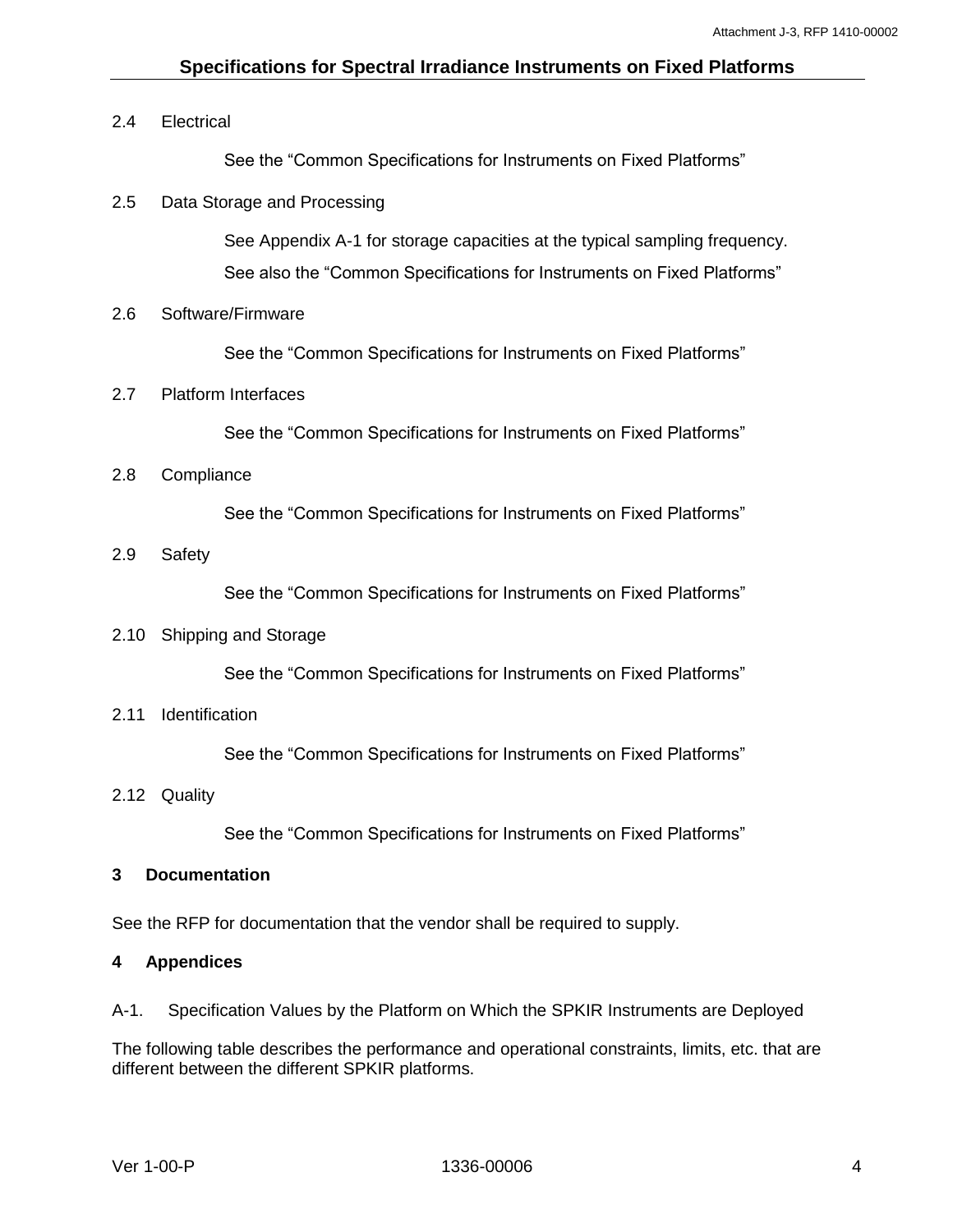## **Specifications for Spectral Irradiance Instruments on Fixed Platforms**

## <span id="page-6-0"></span>2.4 Electrical

See the "Common Specifications for Instruments on Fixed Platforms"

## <span id="page-6-1"></span>2.5 Data Storage and Processing

See Appendix A-1 for storage capacities at the typical sampling frequency. See also the "Common Specifications for Instruments on Fixed Platforms"

## <span id="page-6-2"></span>2.6 Software/Firmware

See the "Common Specifications for Instruments on Fixed Platforms"

## <span id="page-6-3"></span>2.7 Platform Interfaces

See the "Common Specifications for Instruments on Fixed Platforms"

## <span id="page-6-4"></span>2.8 Compliance

See the "Common Specifications for Instruments on Fixed Platforms"

<span id="page-6-5"></span>2.9 Safety

See the "Common Specifications for Instruments on Fixed Platforms"

#### <span id="page-6-6"></span>2.10 Shipping and Storage

See the "Common Specifications for Instruments on Fixed Platforms"

<span id="page-6-7"></span>2.11 Identification

See the "Common Specifications for Instruments on Fixed Platforms"

#### <span id="page-6-8"></span>2.12 Quality

See the "Common Specifications for Instruments on Fixed Platforms"

#### <span id="page-6-9"></span>**3 Documentation**

See the RFP for documentation that the vendor shall be required to supply.

#### <span id="page-6-10"></span>**4 Appendices**

<span id="page-6-11"></span>A-1. Specification Values by the Platform on Which the SPKIR Instruments are Deployed

The following table describes the performance and operational constraints, limits, etc. that are different between the different SPKIR platforms.